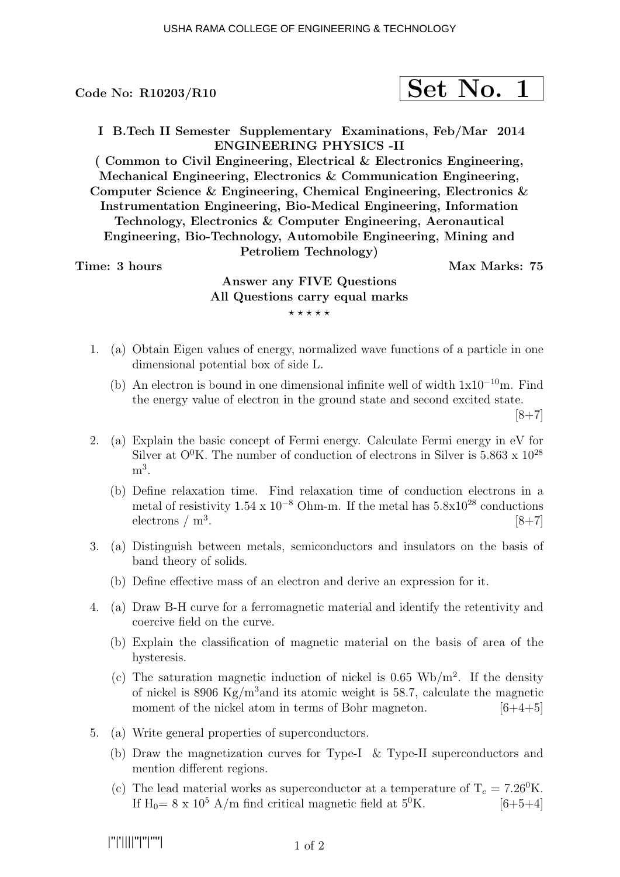$$
\fbox{Set No. 1}
$$

I B.Tech II Semester Supplementary Examinations, Feb/Mar 2014 ENGINEERING PHYSICS -II

( Common to Civil Engineering, Electrical & Electronics Engineering, Mechanical Engineering, Electronics & Communication Engineering, Computer Science & Engineering, Chemical Engineering, Electronics & Instrumentation Engineering, Bio-Medical Engineering, Information Technology, Electronics & Computer Engineering, Aeronautical Engineering, Bio-Technology, Automobile Engineering, Mining and Petroliem Technology)

Time: 3 hours and the set of the Max Marks: 75

# Answer any FIVE Questions All Questions carry equal marks  $***$ \*\*

- 1. (a) Obtain Eigen values of energy, normalized wave functions of a particle in one dimensional potential box of side L.
	- (b) An electron is bound in one dimensional infinite well of width  $1x10^{-10}$ m. Find the energy value of electron in the ground state and second excited state.  $[8+7]$
- 2. (a) Explain the basic concept of Fermi energy. Calculate Fermi energy in eV for Silver at  $O^0K$ . The number of conduction of electrons in Silver is 5.863 x  $10^{28}$  $m^3$ .
	- (b) Define relaxation time. Find relaxation time of conduction electrons in a metal of resistivity  $1.54 \times 10^{-8}$  Ohm-m. If the metal has  $5.8 \times 10^{28}$  conductions electrons  $/m<sup>3</sup>$ . .  $[8+7]$
- 3. (a) Distinguish between metals, semiconductors and insulators on the basis of band theory of solids.
	- (b) Define effective mass of an electron and derive an expression for it.
- 4. (a) Draw B-H curve for a ferromagnetic material and identify the retentivity and coercive field on the curve.
	- (b) Explain the classification of magnetic material on the basis of area of the hysteresis.
	- (c) The saturation magnetic induction of nickel is  $0.65 \text{ Wb/m}^2$ . If the density of nickel is 8906 Kg/m<sup>3</sup> and its atomic weight is 58.7, calculate the magnetic moment of the nickel atom in terms of Bohr magneton.  $[6+4+5]$
- 5. (a) Write general properties of superconductors.
	- (b) Draw the magnetization curves for Type-I & Type-II superconductors and mention different regions.
	- (c) The lead material works as superconductor at a temperature of  $T_c = 7.26^0$ K. If  $H_0 = 8 \times 10^5$  A/m find critical magnetic field at  $5^0$ K. [6+5+4]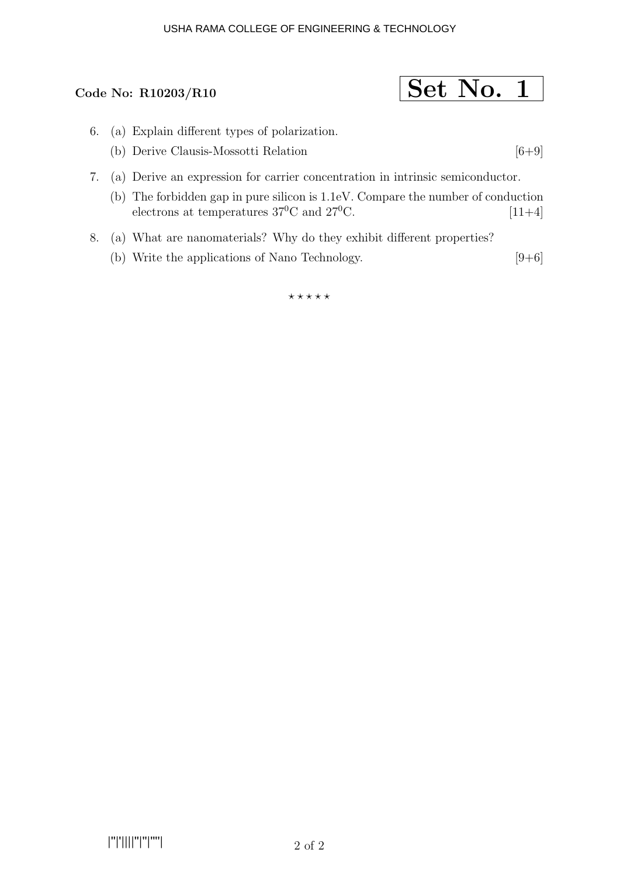#### USHA RAMA COLLEGE OF ENGINEERING & TECHNOLOGY

### Code No: R10203/R10

$$
\fbox{Set No. 1}
$$

- 6. (a) Explain different types of polarization.
	- (b) Derive Clausis-Mossotti Relation  $[6+9]$
- 7. (a) Derive an expression for carrier concentration in intrinsic semiconductor.
	- (b) The forbidden gap in pure silicon is 1.1eV. Compare the number of conduction electrons at temperatures  $37^{\circ}$ C and  $27^{\circ}$ C. [11+4]
- 8. (a) What are nanomaterials? Why do they exhibit different properties?
	- (b) Write the applications of Nano Technology.  $[9+6]$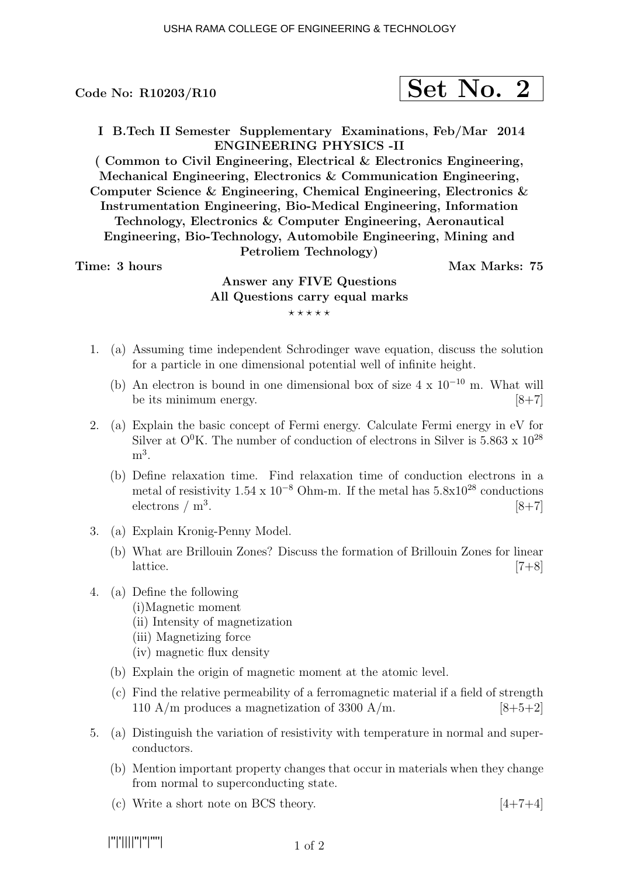$$
\fbox{Set No. 2}
$$

I B.Tech II Semester Supplementary Examinations, Feb/Mar 2014 ENGINEERING PHYSICS -II

( Common to Civil Engineering, Electrical & Electronics Engineering, Mechanical Engineering, Electronics & Communication Engineering, Computer Science & Engineering, Chemical Engineering, Electronics & Instrumentation Engineering, Bio-Medical Engineering, Information Technology, Electronics & Computer Engineering, Aeronautical Engineering, Bio-Technology, Automobile Engineering, Mining and Petroliem Technology)

Time: 3 hours and the set of the Max Marks: 75

## Answer any FIVE Questions All Questions carry equal marks  $***$ \*\*

- 1. (a) Assuming time independent Schrodinger wave equation, discuss the solution for a particle in one dimensional potential well of infinite height.
	- (b) An electron is bound in one dimensional box of size  $4 \times 10^{-10}$  m. What will be its minimum energy.  $[8+7]$
- 2. (a) Explain the basic concept of Fermi energy. Calculate Fermi energy in eV for Silver at  $O^0K$ . The number of conduction of electrons in Silver is 5.863 x  $10^{28}$  $m^3$ .
	- (b) Define relaxation time. Find relaxation time of conduction electrons in a metal of resistivity  $1.54 \times 10^{-8}$  Ohm-m. If the metal has  $5.8 \times 10^{28}$  conductions electrons  $/m<sup>3</sup>$ . .  $[8+7]$
- 3. (a) Explain Kronig-Penny Model.
	- (b) What are Brillouin Zones? Discuss the formation of Brillouin Zones for linear lattice.  $[7+8]$
- 4. (a) Define the following
	- (i)Magnetic moment
	- (ii) Intensity of magnetization
	- (iii) Magnetizing force
	- (iv) magnetic flux density
	- (b) Explain the origin of magnetic moment at the atomic level.
	- (c) Find the relative permeability of a ferromagnetic material if a field of strength 110 A/m produces a magnetization of 3300 A/m.  $[8+5+2]$
- 5. (a) Distinguish the variation of resistivity with temperature in normal and superconductors.
	- (b) Mention important property changes that occur in materials when they change from normal to superconducting state.
	- (c) Write a short note on BCS theory.  $[4+7+4]$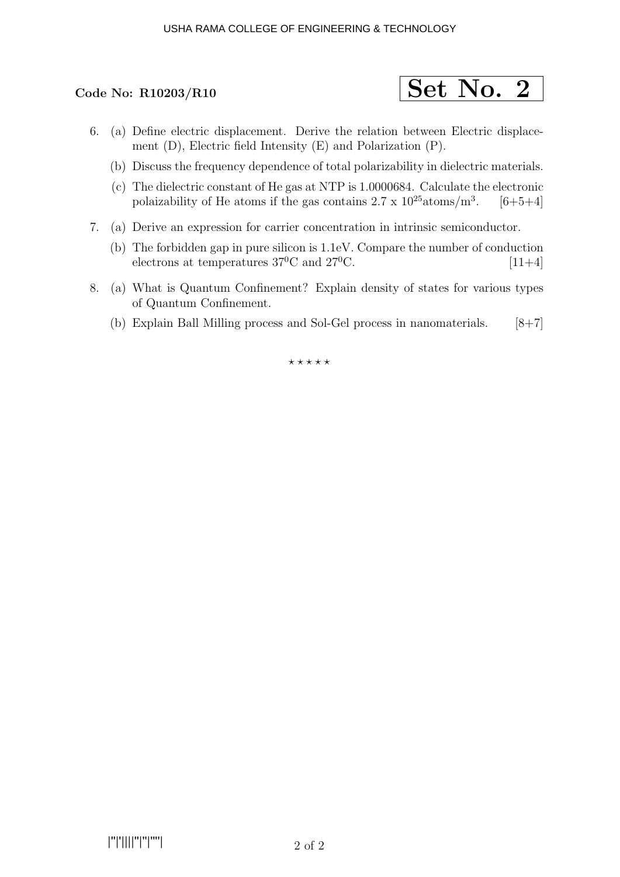#### USHA RAMA COLLEGE OF ENGINEERING & TECHNOLOGY



- 6. (a) Define electric displacement. Derive the relation between Electric displacement (D), Electric field Intensity (E) and Polarization (P).
	- (b) Discuss the frequency dependence of total polarizability in dielectric materials.
	- (c) The dielectric constant of He gas at NTP is 1.0000684. Calculate the electronic polaizability of He atoms if the gas contains  $2.7 \times 10^{25}$  atoms/m<sup>3</sup>.  $[6+5+4]$
- 7. (a) Derive an expression for carrier concentration in intrinsic semiconductor.
	- (b) The forbidden gap in pure silicon is 1.1eV. Compare the number of conduction electrons at temperatures  $37^{\circ}$ C and  $27^{\circ}$ C. [11+4]
- 8. (a) What is Quantum Confinement? Explain density of states for various types of Quantum Confinement.
	- (b) Explain Ball Milling process and Sol-Gel process in nanomaterials.  $[8+7]$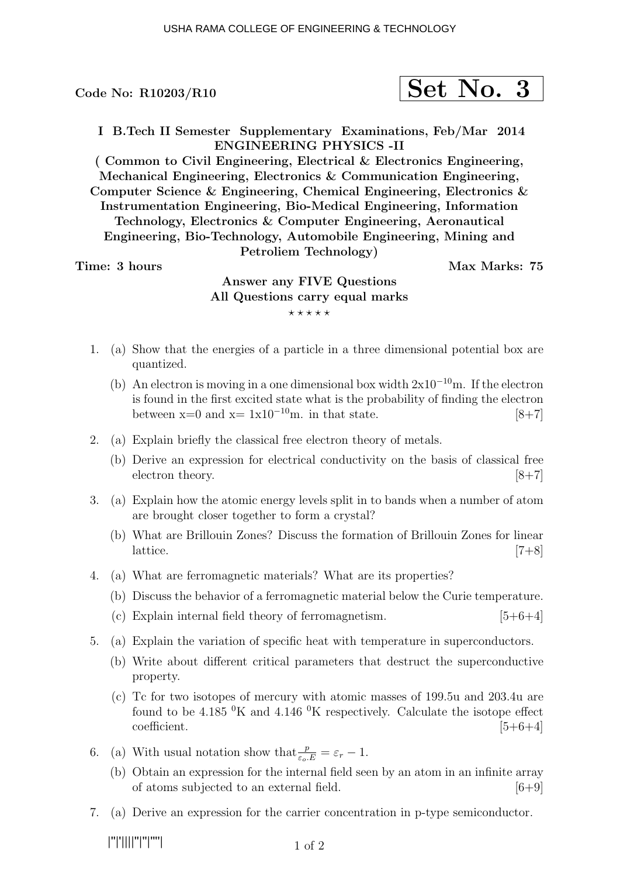$$
\fbox{Set No. 3}
$$

I B.Tech II Semester Supplementary Examinations, Feb/Mar 2014 ENGINEERING PHYSICS -II

( Common to Civil Engineering, Electrical & Electronics Engineering, Mechanical Engineering, Electronics & Communication Engineering, Computer Science & Engineering, Chemical Engineering, Electronics & Instrumentation Engineering, Bio-Medical Engineering, Information Technology, Electronics & Computer Engineering, Aeronautical Engineering, Bio-Technology, Automobile Engineering, Mining and Petroliem Technology)

Time: 3 hours and the set of the Max Marks: 75

## Answer any FIVE Questions All Questions carry equal marks  $***$ \*\*

- 1. (a) Show that the energies of a particle in a three dimensional potential box are quantized.
	- (b) An electron is moving in a one dimensional box width  $2x10^{-10}$ m. If the electron is found in the first excited state what is the probability of finding the electron between  $x=0$  and  $x= 1x10^{-10}$ m. in that state. [8+7]
- 2. (a) Explain briefly the classical free electron theory of metals.
	- (b) Derive an expression for electrical conductivity on the basis of classical free electron theory. [8+7]
- 3. (a) Explain how the atomic energy levels split in to bands when a number of atom are brought closer together to form a crystal?
	- (b) What are Brillouin Zones? Discuss the formation of Brillouin Zones for linear lattice.  $[7+8]$
- 4. (a) What are ferromagnetic materials? What are its properties?
	- (b) Discuss the behavior of a ferromagnetic material below the Curie temperature.
	- (c) Explain internal field theory of ferromagnetism.  $[5+6+4]$
- 5. (a) Explain the variation of specific heat with temperature in superconductors.
	- (b) Write about different critical parameters that destruct the superconductive property.
	- (c) Tc for two isotopes of mercury with atomic masses of 199.5u and 203.4u are found to be 4.185  $\rm{^0K}$  and 4.146  $\rm{^0K}$  respectively. Calculate the isotope effect  $\text{coefficient.}$  [5+6+4]
- 6. (a) With usual notation show that  $\frac{p}{\varepsilon_o.E} = \varepsilon_r 1$ .
	- (b) Obtain an expression for the internal field seen by an atom in an infinite array of atoms subjected to an external field.  $[6+9]$
- 7. (a) Derive an expression for the carrier concentration in p-type semiconductor.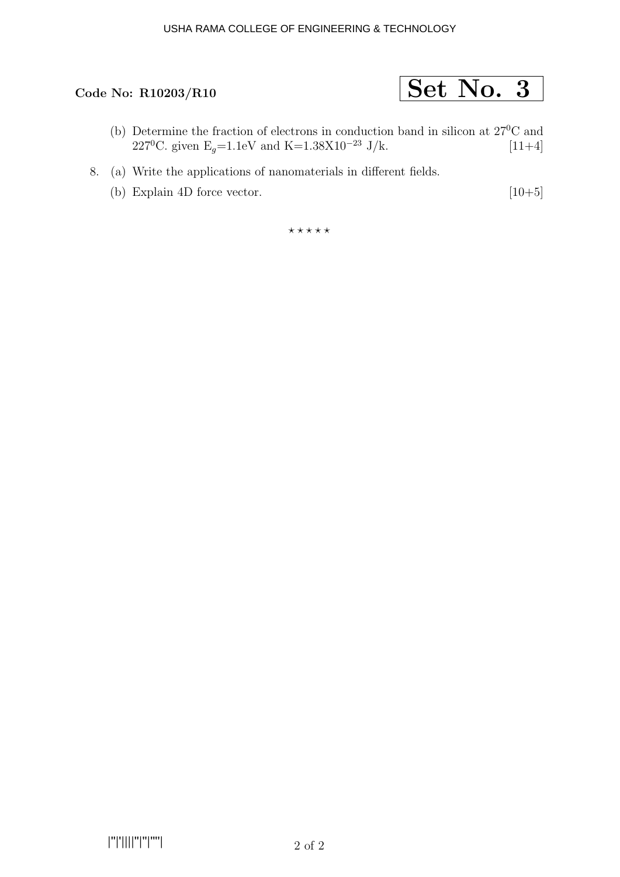# Code No: R10203/R10  $\boxed{\text{Set No. 3}}$

- (b) Determine the fraction of electrons in conduction band in silicon at 27<sup>0</sup>C and 227<sup>o</sup>C. given E<sub>g</sub>=1.1eV and K=1.38X10<sup>-23</sup> J/k. [11+4]
- 8. (a) Write the applications of nanomaterials in different fields.
	- (b) Explain 4D force vector.  $[10+5]$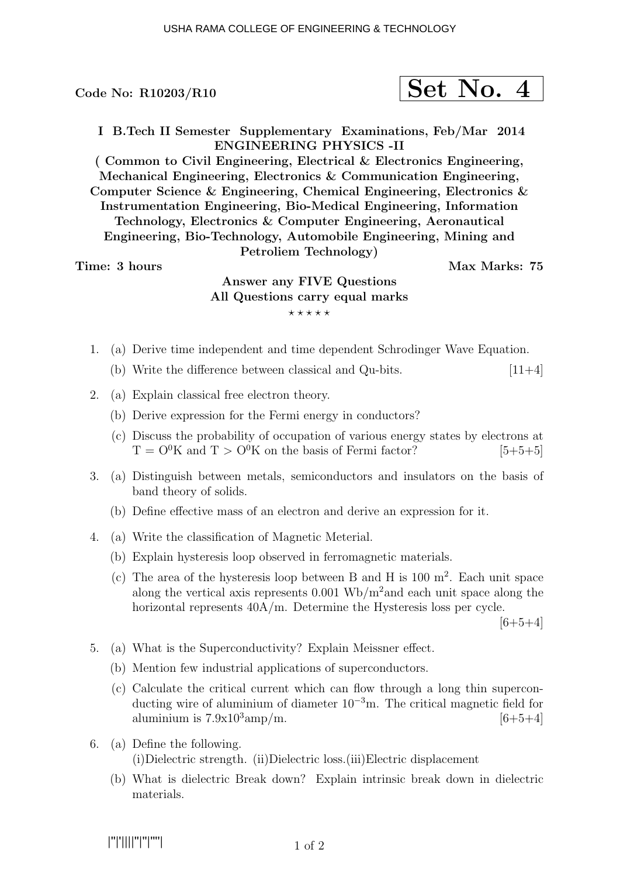$$
\fbox{Set No. 4}
$$

I B.Tech II Semester Supplementary Examinations, Feb/Mar 2014 ENGINEERING PHYSICS -II

( Common to Civil Engineering, Electrical & Electronics Engineering, Mechanical Engineering, Electronics & Communication Engineering, Computer Science & Engineering, Chemical Engineering, Electronics & Instrumentation Engineering, Bio-Medical Engineering, Information Technology, Electronics & Computer Engineering, Aeronautical Engineering, Bio-Technology, Automobile Engineering, Mining and Petroliem Technology)

Time: 3 hours and the set of the Max Marks: 75

## Answer any FIVE Questions All Questions carry equal marks  $***$ \*\*

- 1. (a) Derive time independent and time dependent Schrodinger Wave Equation.
	- (b) Write the difference between classical and Qu-bits.  $[11+4]$
- 2. (a) Explain classical free electron theory.
	- (b) Derive expression for the Fermi energy in conductors?
	- (c) Discuss the probability of occupation of various energy states by electrons at  $T = O^{0}K$  and  $T > O^{0}K$  on the basis of Fermi factor? [5+5+5]
- 3. (a) Distinguish between metals, semiconductors and insulators on the basis of band theory of solids.
	- (b) Define effective mass of an electron and derive an expression for it.
- 4. (a) Write the classification of Magnetic Meterial.
	- (b) Explain hysteresis loop observed in ferromagnetic materials.
	- (c) The area of the hysteresis loop between B and H is  $100 \text{ m}^2$ . Each unit space along the vertical axis represents  $0.001 \text{ Wb/m}^2$  and each unit space along the horizontal represents  $40A/m$ . Determine the Hysteresis loss per cycle.

 $[6+5+4]$ 

- 5. (a) What is the Superconductivity? Explain Meissner effect.
	- (b) Mention few industrial applications of superconductors.
	- (c) Calculate the critical current which can flow through a long thin superconducting wire of aluminium of diameter  $10^{-3}$ m. The critical magnetic field for aluminium is  $7.9x10^3$ amp/m. [6+5+4]
- 6. (a) Define the following. (i)Dielectric strength. (ii)Dielectric loss.(iii)Electric displacement
	- (b) What is dielectric Break down? Explain intrinsic break down in dielectric materials.